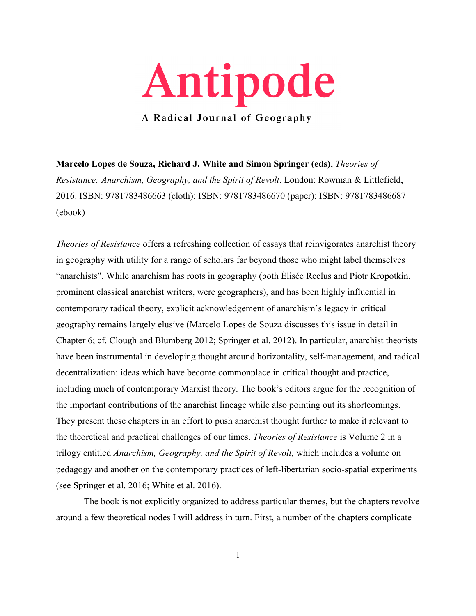

**Marcelo Lopes de Souza, Richard J. White and Simon Springer (eds)**, *Theories of Resistance: Anarchism, Geography, and the Spirit of Revolt*, London: Rowman & Littlefield, 2016. ISBN: 9781783486663 (cloth); ISBN: 9781783486670 (paper); ISBN: 9781783486687 (ebook)

*Theories of Resistance* offers a refreshing collection of essays that reinvigorates anarchist theory in geography with utility for a range of scholars far beyond those who might label themselves "anarchists". While anarchism has roots in geography (both Élisée Reclus and Piotr Kropotkin, prominent classical anarchist writers, were geographers), and has been highly influential in contemporary radical theory, explicit acknowledgement of anarchism's legacy in critical geography remains largely elusive (Marcelo Lopes de Souza discusses this issue in detail in Chapter 6; cf. Clough and Blumberg 2012; Springer et al. 2012). In particular, anarchist theorists have been instrumental in developing thought around horizontality, self-management, and radical decentralization: ideas which have become commonplace in critical thought and practice, including much of contemporary Marxist theory. The book's editors argue for the recognition of the important contributions of the anarchist lineage while also pointing out its shortcomings. They present these chapters in an effort to push anarchist thought further to make it relevant to the theoretical and practical challenges of our times. *Theories of Resistance* is Volume 2 in a trilogy entitled *Anarchism, Geography, and the Spirit of Revolt,* which includes a volume on pedagogy and another on the contemporary practices of left-libertarian socio-spatial experiments (see Springer et al. 2016; White et al. 2016).

The book is not explicitly organized to address particular themes, but the chapters revolve around a few theoretical nodes I will address in turn. First, a number of the chapters complicate

1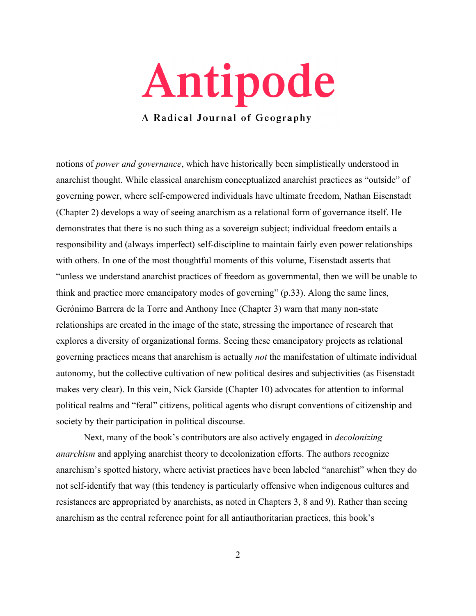

notions of *power and governance*, which have historically been simplistically understood in anarchist thought. While classical anarchism conceptualized anarchist practices as "outside" of governing power, where self-empowered individuals have ultimate freedom, Nathan Eisenstadt (Chapter 2) develops a way of seeing anarchism as a relational form of governance itself. He demonstrates that there is no such thing as a sovereign subject; individual freedom entails a responsibility and (always imperfect) self-discipline to maintain fairly even power relationships with others. In one of the most thoughtful moments of this volume, Eisenstadt asserts that "unless we understand anarchist practices of freedom as governmental, then we will be unable to think and practice more emancipatory modes of governing" (p.33). Along the same lines, Gerónimo Barrera de la Torre and Anthony Ince (Chapter 3) warn that many non-state relationships are created in the image of the state, stressing the importance of research that explores a diversity of organizational forms. Seeing these emancipatory projects as relational governing practices means that anarchism is actually *not* the manifestation of ultimate individual autonomy, but the collective cultivation of new political desires and subjectivities (as Eisenstadt makes very clear). In this vein, Nick Garside (Chapter 10) advocates for attention to informal political realms and "feral" citizens, political agents who disrupt conventions of citizenship and society by their participation in political discourse.

Next, many of the book's contributors are also actively engaged in *decolonizing anarchism* and applying anarchist theory to decolonization efforts. The authors recognize anarchism's spotted history, where activist practices have been labeled "anarchist" when they do not self-identify that way (this tendency is particularly offensive when indigenous cultures and resistances are appropriated by anarchists, as noted in Chapters 3, 8 and 9). Rather than seeing anarchism as the central reference point for all antiauthoritarian practices, this book's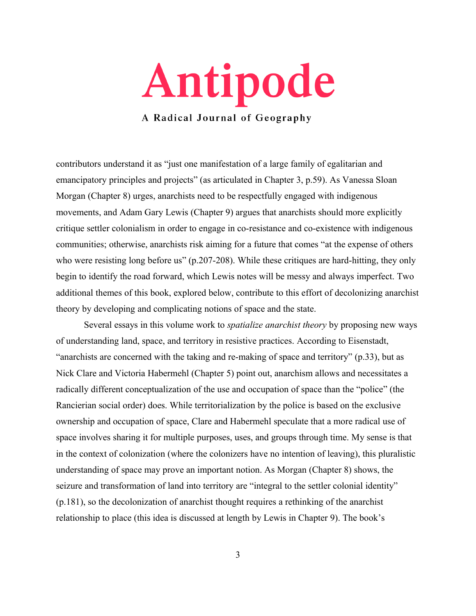

contributors understand it as "just one manifestation of a large family of egalitarian and emancipatory principles and projects" (as articulated in Chapter 3, p.59). As Vanessa Sloan Morgan (Chapter 8) urges, anarchists need to be respectfully engaged with indigenous movements, and Adam Gary Lewis (Chapter 9) argues that anarchists should more explicitly critique settler colonialism in order to engage in co-resistance and co-existence with indigenous communities; otherwise, anarchists risk aiming for a future that comes "at the expense of others who were resisting long before us" (p.207-208). While these critiques are hard-hitting, they only begin to identify the road forward, which Lewis notes will be messy and always imperfect. Two additional themes of this book, explored below, contribute to this effort of decolonizing anarchist theory by developing and complicating notions of space and the state.

Several essays in this volume work to *spatialize anarchist theory* by proposing new ways of understanding land, space, and territory in resistive practices. According to Eisenstadt, "anarchists are concerned with the taking and re-making of space and territory" (p.33), but as Nick Clare and Victoria Habermehl (Chapter 5) point out, anarchism allows and necessitates a radically different conceptualization of the use and occupation of space than the "police" (the Rancierian social order) does. While territorialization by the police is based on the exclusive ownership and occupation of space, Clare and Habermehl speculate that a more radical use of space involves sharing it for multiple purposes, uses, and groups through time. My sense is that in the context of colonization (where the colonizers have no intention of leaving), this pluralistic understanding of space may prove an important notion. As Morgan (Chapter 8) shows, the seizure and transformation of land into territory are "integral to the settler colonial identity" (p.181), so the decolonization of anarchist thought requires a rethinking of the anarchist relationship to place (this idea is discussed at length by Lewis in Chapter 9). The book's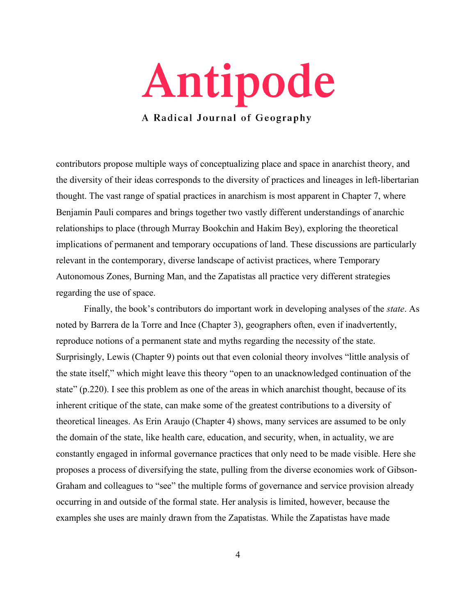

contributors propose multiple ways of conceptualizing place and space in anarchist theory, and the diversity of their ideas corresponds to the diversity of practices and lineages in left-libertarian thought. The vast range of spatial practices in anarchism is most apparent in Chapter 7, where Benjamin Pauli compares and brings together two vastly different understandings of anarchic relationships to place (through Murray Bookchin and Hakim Bey), exploring the theoretical implications of permanent and temporary occupations of land. These discussions are particularly relevant in the contemporary, diverse landscape of activist practices, where Temporary Autonomous Zones, Burning Man, and the Zapatistas all practice very different strategies regarding the use of space.

Finally, the book's contributors do important work in developing analyses of the *state*. As noted by Barrera de la Torre and Ince (Chapter 3), geographers often, even if inadvertently, reproduce notions of a permanent state and myths regarding the necessity of the state. Surprisingly, Lewis (Chapter 9) points out that even colonial theory involves "little analysis of the state itself," which might leave this theory "open to an unacknowledged continuation of the state" (p.220). I see this problem as one of the areas in which anarchist thought, because of its inherent critique of the state, can make some of the greatest contributions to a diversity of theoretical lineages. As Erin Araujo (Chapter 4) shows, many services are assumed to be only the domain of the state, like health care, education, and security, when, in actuality, we are constantly engaged in informal governance practices that only need to be made visible. Here she proposes a process of diversifying the state, pulling from the diverse economies work of Gibson-Graham and colleagues to "see" the multiple forms of governance and service provision already occurring in and outside of the formal state. Her analysis is limited, however, because the examples she uses are mainly drawn from the Zapatistas. While the Zapatistas have made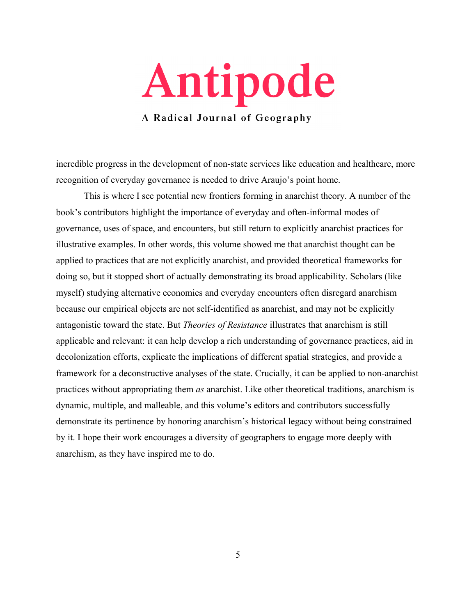

incredible progress in the development of non-state services like education and healthcare, more recognition of everyday governance is needed to drive Araujo's point home.

This is where I see potential new frontiers forming in anarchist theory. A number of the book's contributors highlight the importance of everyday and often-informal modes of governance, uses of space, and encounters, but still return to explicitly anarchist practices for illustrative examples. In other words, this volume showed me that anarchist thought can be applied to practices that are not explicitly anarchist, and provided theoretical frameworks for doing so, but it stopped short of actually demonstrating its broad applicability. Scholars (like myself) studying alternative economies and everyday encounters often disregard anarchism because our empirical objects are not self-identified as anarchist, and may not be explicitly antagonistic toward the state. But *Theories of Resistance* illustrates that anarchism is still applicable and relevant: it can help develop a rich understanding of governance practices, aid in decolonization efforts, explicate the implications of different spatial strategies, and provide a framework for a deconstructive analyses of the state. Crucially, it can be applied to non-anarchist practices without appropriating them *as* anarchist. Like other theoretical traditions, anarchism is dynamic, multiple, and malleable, and this volume's editors and contributors successfully demonstrate its pertinence by honoring anarchism's historical legacy without being constrained by it. I hope their work encourages a diversity of geographers to engage more deeply with anarchism, as they have inspired me to do.